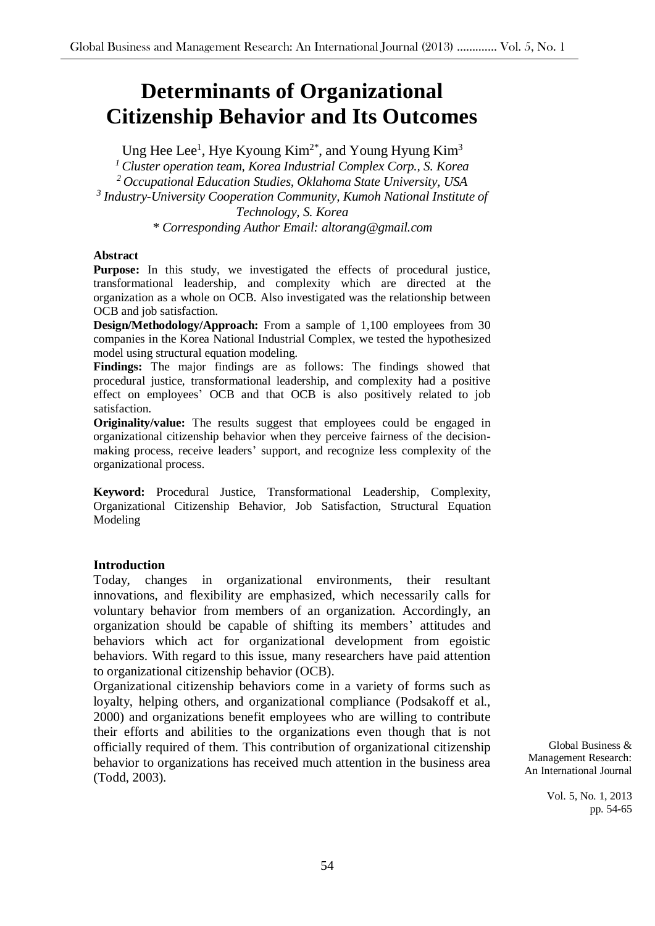# **Determinants of Organizational Citizenship Behavior and Its Outcomes**

Ung Hee Lee<sup>1</sup>, Hye Kyoung Kim<sup>2\*</sup>, and Young Hyung Kim<sup>3</sup> *<sup>1</sup> Cluster operation team, Korea Industrial Complex Corp., S. Korea <sup>2</sup> Occupational Education Studies, Oklahoma State University, USA 3 Industry-University Cooperation Community, Kumoh National Institute of Technology, S. Korea \* Corresponding Author Email: altorang@gmail.com*

#### **Abstract**

Purpose: In this study, we investigated the effects of procedural justice, transformational leadership, and complexity which are directed at the organization as a whole on OCB. Also investigated was the relationship between OCB and job satisfaction.

**Design/Methodology/Approach:** From a sample of 1,100 employees from 30 companies in the Korea National Industrial Complex, we tested the hypothesized model using structural equation modeling.

**Findings:** The major findings are as follows: The findings showed that procedural justice, transformational leadership, and complexity had a positive effect on employees' OCB and that OCB is also positively related to job satisfaction.

**Originality/value:** The results suggest that employees could be engaged in organizational citizenship behavior when they perceive fairness of the decisionmaking process, receive leaders' support, and recognize less complexity of the organizational process.

**Keyword:** Procedural Justice, Transformational Leadership, Complexity, Organizational Citizenship Behavior, Job Satisfaction, Structural Equation Modeling

#### **Introduction**

Today, changes in organizational environments, their resultant innovations, and flexibility are emphasized, which necessarily calls for voluntary behavior from members of an organization. Accordingly, an organization should be capable of shifting its members' attitudes and behaviors which act for organizational development from egoistic behaviors. With regard to this issue, many researchers have paid attention to organizational citizenship behavior (OCB).

Organizational citizenship behaviors come in a variety of forms such as loyalty, helping others, and organizational compliance (Podsakoff et al., 2000) and organizations benefit employees who are willing to contribute their efforts and abilities to the organizations even though that is not officially required of them. This contribution of organizational citizenship behavior to organizations has received much attention in the business area (Todd, 2003).

Global Business & Management Research: An International Journal

> Vol. 5, No. 1, 2013 pp. 54-65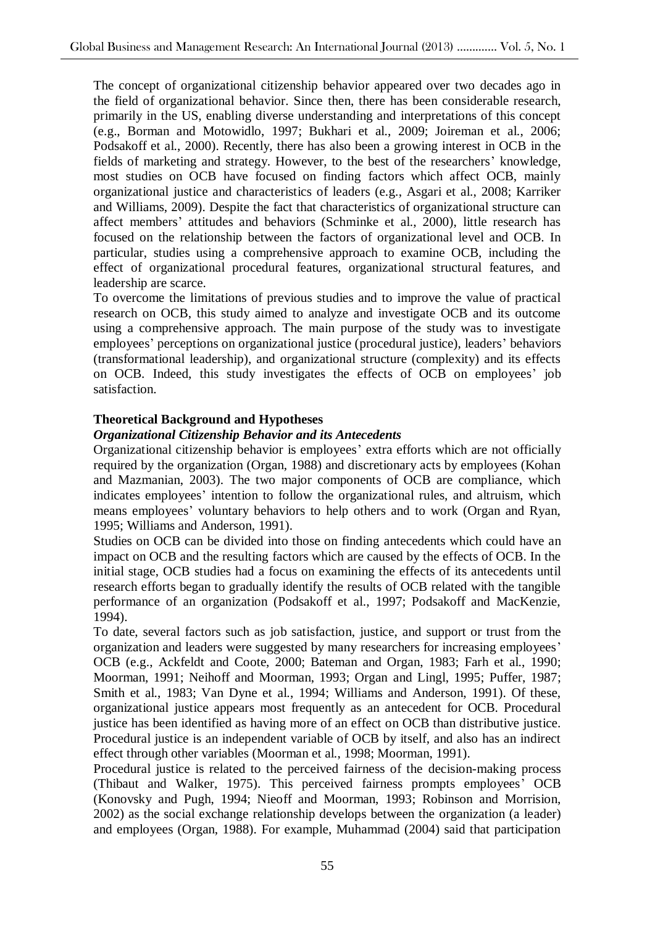The concept of organizational citizenship behavior appeared over two decades ago in the field of organizational behavior. Since then, there has been considerable research, primarily in the US, enabling diverse understanding and interpretations of this concept (e.g., Borman and Motowidlo, 1997; Bukhari et al., 2009; Joireman et al., 2006; Podsakoff et al., 2000). Recently, there has also been a growing interest in OCB in the fields of marketing and strategy. However, to the best of the researchers' knowledge, most studies on OCB have focused on finding factors which affect OCB, mainly organizational justice and characteristics of leaders (e.g., Asgari et al., 2008; Karriker and Williams, 2009). Despite the fact that characteristics of organizational structure can affect members' attitudes and behaviors (Schminke et al., 2000), little research has focused on the relationship between the factors of organizational level and OCB. In particular, studies using a comprehensive approach to examine OCB, including the effect of organizational procedural features, organizational structural features, and leadership are scarce.

To overcome the limitations of previous studies and to improve the value of practical research on OCB, this study aimed to analyze and investigate OCB and its outcome using a comprehensive approach. The main purpose of the study was to investigate employees' perceptions on organizational justice (procedural justice), leaders' behaviors (transformational leadership), and organizational structure (complexity) and its effects on OCB. Indeed, this study investigates the effects of OCB on employees' job satisfaction.

## **Theoretical Background and Hypotheses**

#### *Organizational Citizenship Behavior and its Antecedents*

Organizational citizenship behavior is employees' extra efforts which are not officially required by the organization (Organ, 1988) and discretionary acts by employees (Kohan and Mazmanian, 2003). The two major components of OCB are compliance, which indicates employees' intention to follow the organizational rules, and altruism, which means employees' voluntary behaviors to help others and to work (Organ and Ryan, 1995; Williams and Anderson, 1991).

Studies on OCB can be divided into those on finding antecedents which could have an impact on OCB and the resulting factors which are caused by the effects of OCB. In the initial stage, OCB studies had a focus on examining the effects of its antecedents until research efforts began to gradually identify the results of OCB related with the tangible performance of an organization (Podsakoff et al., 1997; Podsakoff and MacKenzie, 1994).

To date, several factors such as job satisfaction, justice, and support or trust from the organization and leaders were suggested by many researchers for increasing employees' OCB (e.g., Ackfeldt and Coote, 2000; Bateman and Organ, 1983; Farh et al., 1990; Moorman, 1991; Neihoff and Moorman, 1993; Organ and Lingl, 1995; Puffer, 1987; Smith et al., 1983; Van Dyne et al., 1994; Williams and Anderson, 1991). Of these, organizational justice appears most frequently as an antecedent for OCB. Procedural justice has been identified as having more of an effect on OCB than distributive justice. Procedural justice is an independent variable of OCB by itself, and also has an indirect effect through other variables (Moorman et al., 1998; Moorman, 1991).

Procedural justice is related to the perceived fairness of the decision-making process (Thibaut and Walker, 1975). This perceived fairness prompts employees' OCB (Konovsky and Pugh, 1994; Nieoff and Moorman, 1993; Robinson and Morrision, 2002) as the social exchange relationship develops between the organization (a leader) and employees (Organ, 1988). For example, Muhammad (2004) said that participation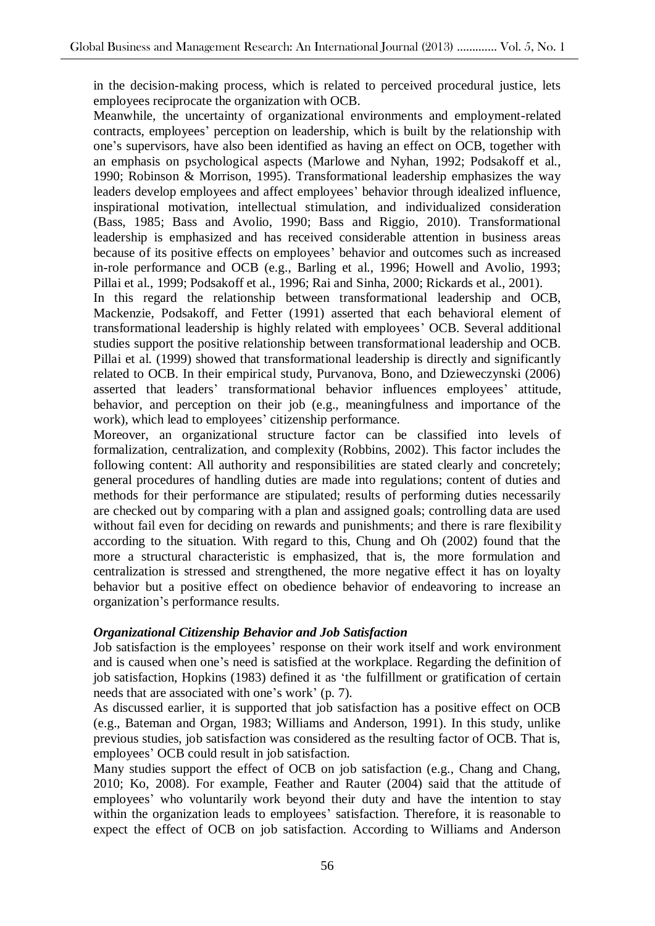in the decision-making process, which is related to perceived procedural justice, lets employees reciprocate the organization with OCB.

Meanwhile, the uncertainty of organizational environments and employment-related contracts, employees' perception on leadership, which is built by the relationship with one's supervisors, have also been identified as having an effect on OCB, together with an emphasis on psychological aspects (Marlowe and Nyhan, 1992; Podsakoff et al., 1990; Robinson & Morrison, 1995). Transformational leadership emphasizes the way leaders develop employees and affect employees' behavior through idealized influence, inspirational motivation, intellectual stimulation, and individualized consideration (Bass, 1985; Bass and Avolio, 1990; Bass and Riggio, 2010). Transformational leadership is emphasized and has received considerable attention in business areas because of its positive effects on employees' behavior and outcomes such as increased in-role performance and OCB (e.g., Barling et al., 1996; Howell and Avolio, 1993; Pillai et al., 1999; Podsakoff et al., 1996; Rai and Sinha, 2000; Rickards et al., 2001).

In this regard the relationship between transformational leadership and OCB, Mackenzie, Podsakoff, and Fetter (1991) asserted that each behavioral element of transformational leadership is highly related with employees' OCB. Several additional studies support the positive relationship between transformational leadership and OCB. Pillai et al. (1999) showed that transformational leadership is directly and significantly related to OCB. In their empirical study, Purvanova, Bono, and Dzieweczynski (2006) asserted that leaders' transformational behavior influences employees' attitude, behavior, and perception on their job (e.g., meaningfulness and importance of the work), which lead to employees' citizenship performance.

Moreover, an organizational structure factor can be classified into levels of formalization, centralization, and complexity (Robbins, 2002). This factor includes the following content: All authority and responsibilities are stated clearly and concretely; general procedures of handling duties are made into regulations; content of duties and methods for their performance are stipulated; results of performing duties necessarily are checked out by comparing with a plan and assigned goals; controlling data are used without fail even for deciding on rewards and punishments; and there is rare flexibility according to the situation. With regard to this, Chung and Oh (2002) found that the more a structural characteristic is emphasized, that is, the more formulation and centralization is stressed and strengthened, the more negative effect it has on loyalty behavior but a positive effect on obedience behavior of endeavoring to increase an organization's performance results.

## *Organizational Citizenship Behavior and Job Satisfaction*

Job satisfaction is the employees' response on their work itself and work environment and is caused when one's need is satisfied at the workplace. Regarding the definition of job satisfaction, Hopkins (1983) defined it as 'the fulfillment or gratification of certain needs that are associated with one's work' (p. 7).

As discussed earlier, it is supported that job satisfaction has a positive effect on OCB (e.g., Bateman and Organ, 1983; Williams and Anderson, 1991). In this study, unlike previous studies, job satisfaction was considered as the resulting factor of OCB. That is, employees' OCB could result in job satisfaction.

Many studies support the effect of OCB on job satisfaction (e.g., Chang and Chang, 2010; Ko, 2008). For example, Feather and Rauter (2004) said that the attitude of employees' who voluntarily work beyond their duty and have the intention to stay within the organization leads to employees' satisfaction. Therefore, it is reasonable to expect the effect of OCB on job satisfaction. According to Williams and Anderson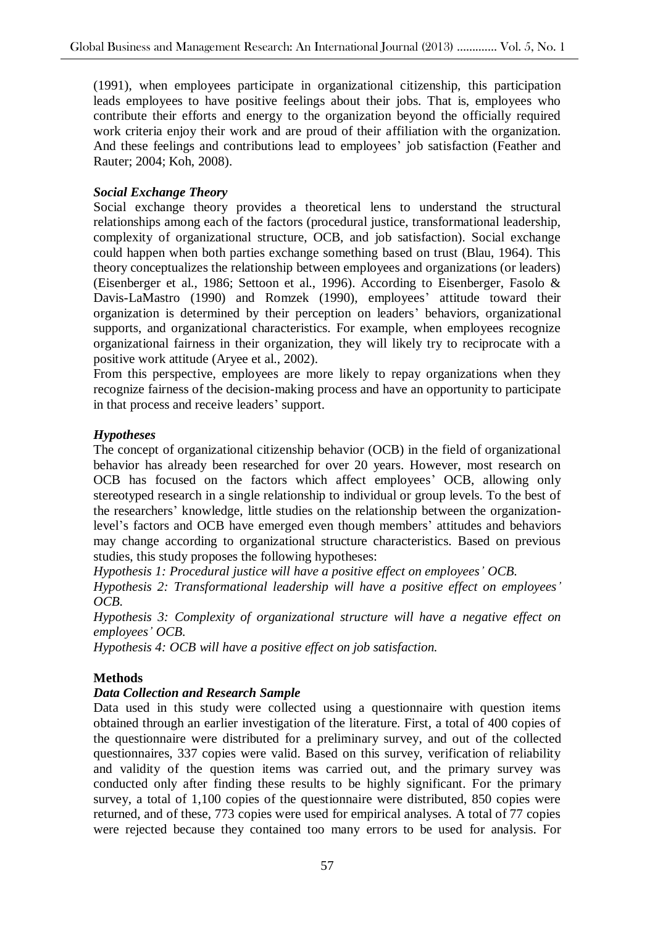(1991), when employees participate in organizational citizenship, this participation leads employees to have positive feelings about their jobs. That is, employees who contribute their efforts and energy to the organization beyond the officially required work criteria enjoy their work and are proud of their affiliation with the organization. And these feelings and contributions lead to employees' job satisfaction (Feather and Rauter; 2004; Koh, 2008).

## *Social Exchange Theory*

Social exchange theory provides a theoretical lens to understand the structural relationships among each of the factors (procedural justice, transformational leadership, complexity of organizational structure, OCB, and job satisfaction). Social exchange could happen when both parties exchange something based on trust (Blau, 1964). This theory conceptualizes the relationship between employees and organizations (or leaders) (Eisenberger et al., 1986; Settoon et al., 1996). According to Eisenberger, Fasolo & Davis-LaMastro (1990) and Romzek (1990), employees' attitude toward their organization is determined by their perception on leaders' behaviors, organizational supports, and organizational characteristics. For example, when employees recognize organizational fairness in their organization, they will likely try to reciprocate with a positive work attitude (Aryee et al., 2002).

From this perspective, employees are more likely to repay organizations when they recognize fairness of the decision-making process and have an opportunity to participate in that process and receive leaders' support.

## *Hypotheses*

The concept of organizational citizenship behavior (OCB) in the field of organizational behavior has already been researched for over 20 years. However, most research on OCB has focused on the factors which affect employees' OCB, allowing only stereotyped research in a single relationship to individual or group levels. To the best of the researchers' knowledge, little studies on the relationship between the organizationlevel's factors and OCB have emerged even though members' attitudes and behaviors may change according to organizational structure characteristics. Based on previous studies, this study proposes the following hypotheses:

*Hypothesis 1: Procedural justice will have a positive effect on employees' OCB.*

*Hypothesis 2: Transformational leadership will have a positive effect on employees' OCB.*

*Hypothesis 3: Complexity of organizational structure will have a negative effect on employees' OCB.*

*Hypothesis 4: OCB will have a positive effect on job satisfaction.*

## **Methods**

## *Data Collection and Research Sample*

Data used in this study were collected using a questionnaire with question items obtained through an earlier investigation of the literature. First, a total of 400 copies of the questionnaire were distributed for a preliminary survey, and out of the collected questionnaires, 337 copies were valid. Based on this survey, verification of reliability and validity of the question items was carried out, and the primary survey was conducted only after finding these results to be highly significant. For the primary survey, a total of 1,100 copies of the questionnaire were distributed, 850 copies were returned, and of these, 773 copies were used for empirical analyses. A total of 77 copies were rejected because they contained too many errors to be used for analysis. For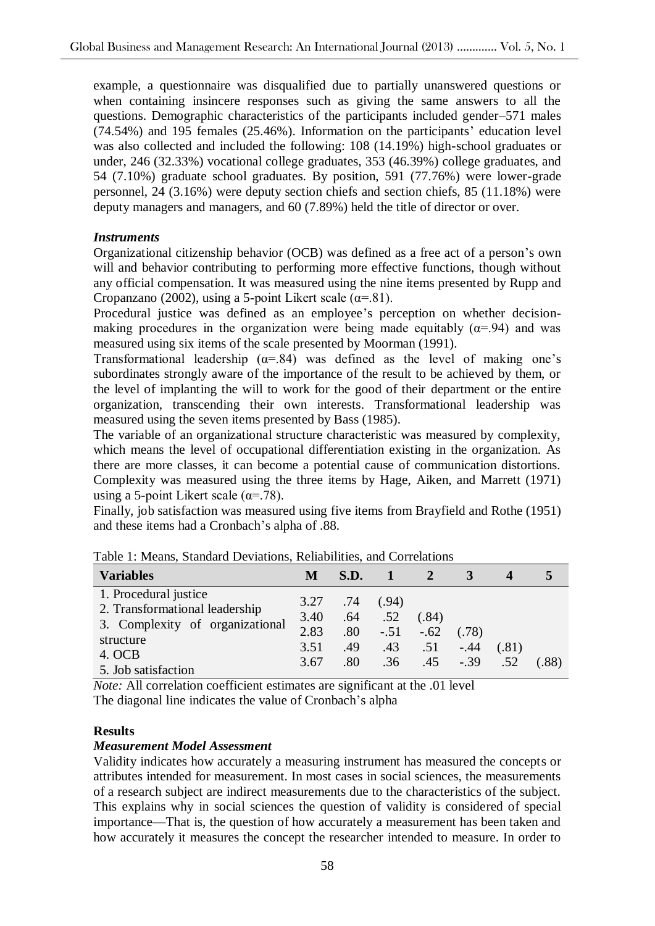example, a questionnaire was disqualified due to partially unanswered questions or when containing insincere responses such as giving the same answers to all the questions. Demographic characteristics of the participants included gender–571 males (74.54%) and 195 females (25.46%). Information on the participants' education level was also collected and included the following: 108 (14.19%) high-school graduates or under, 246 (32.33%) vocational college graduates, 353 (46.39%) college graduates, and 54 (7.10%) graduate school graduates. By position, 591 (77.76%) were lower-grade personnel, 24 (3.16%) were deputy section chiefs and section chiefs, 85 (11.18%) were deputy managers and managers, and 60 (7.89%) held the title of director or over.

#### *Instruments*

Organizational citizenship behavior (OCB) was defined as a free act of a person's own will and behavior contributing to performing more effective functions, though without any official compensation. It was measured using the nine items presented by Rupp and Cropanzano (2002), using a 5-point Likert scale ( $\alpha$ =.81).

Procedural justice was defined as an employee's perception on whether decisionmaking procedures in the organization were being made equitably  $(\alpha = 94)$  and was measured using six items of the scale presented by Moorman (1991).

Transformational leadership ( $\alpha$ =.84) was defined as the level of making one's subordinates strongly aware of the importance of the result to be achieved by them, or the level of implanting the will to work for the good of their department or the entire organization, transcending their own interests. Transformational leadership was measured using the seven items presented by Bass (1985).

The variable of an organizational structure characteristic was measured by complexity, which means the level of occupational differentiation existing in the organization. As there are more classes, it can become a potential cause of communication distortions. Complexity was measured using the three items by Hage, Aiken, and Marrett (1971) using a 5-point Likert scale  $(\alpha = .78)$ .

Finally, job satisfaction was measured using five items from Brayfield and Rothe (1951) and these items had a Cronbach's alpha of .88.

| <b>Variables</b>                                                                                        | M                            | S.D.                     |                               |                        |                 |       |      |
|---------------------------------------------------------------------------------------------------------|------------------------------|--------------------------|-------------------------------|------------------------|-----------------|-------|------|
| 1. Procedural justice<br>2. Transformational leadership<br>3. Complexity of organizational<br>structure | 3.27<br>3.40<br>2.83<br>3.51 | .74<br>.64<br>.80<br>.49 | (.94)<br>.52<br>$-.51$<br>.43 | (.84)<br>$-.62$<br>.51 | (.78)<br>$-.44$ | (.81) |      |
| 4. OCB<br>5. Job satisfaction                                                                           | 3.67                         | $.80\,$                  | .36                           | .45                    | $-.39$          | .52   | .88) |

Table 1: Means, Standard Deviations, Reliabilities, and Correlations

*Note:* All correlation coefficient estimates are significant at the .01 level The diagonal line indicates the value of Cronbach's alpha

## **Results**

#### *Measurement Model Assessment*

Validity indicates how accurately a measuring instrument has measured the concepts or attributes intended for measurement. In most cases in social sciences, the measurements of a research subject are indirect measurements due to the characteristics of the subject. This explains why in social sciences the question of validity is considered of special importance—That is, the question of how accurately a measurement has been taken and how accurately it measures the concept the researcher intended to measure. In order to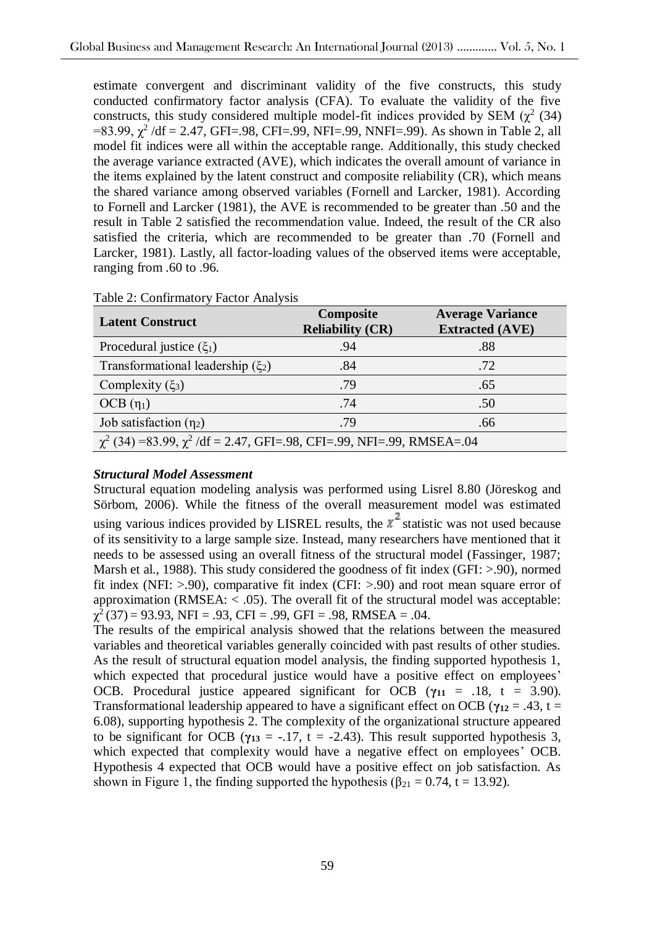estimate convergent and discriminant validity of the five constructs, this study conducted confirmatory factor analysis (CFA). To evaluate the validity of the five constructs, this study considered multiple model-fit indices provided by SEM  $(\chi^2)(34)$  $=83.99, \chi^2/df = 2.47, \text{GFI} = .98, \text{CFI} = .99, \text{NFI} = .99, \text{NNFI} = .99$ ). As shown in Table 2, all model fit indices were all within the acceptable range. Additionally, this study checked the average variance extracted (AVE), which indicates the overall amount of variance in the items explained by the latent construct and composite reliability (CR), which means the shared variance among observed variables (Fornell and Larcker, 1981). According to Fornell and Larcker (1981), the AVE is recommended to be greater than .50 and the result in Table 2 satisfied the recommendation value. Indeed, the result of the CR also satisfied the criteria, which are recommended to be greater than .70 (Fornell and Larcker, 1981). Lastly, all factor-loading values of the observed items were acceptable, ranging from .60 to .96.

| <b>Latent Construct</b>                                                         | Composite<br><b>Reliability (CR)</b> | <b>Average Variance</b><br><b>Extracted (AVE)</b> |  |  |  |  |
|---------------------------------------------------------------------------------|--------------------------------------|---------------------------------------------------|--|--|--|--|
| Procedural justice $(\xi_1)$                                                    | .94                                  | .88                                               |  |  |  |  |
| Transformational leadership $(\xi_2)$                                           | .84                                  | .72                                               |  |  |  |  |
| Complexity $(\xi_3)$                                                            | .79                                  | .65                                               |  |  |  |  |
| $OCB(\eta_1)$                                                                   | .74                                  | .50                                               |  |  |  |  |
| Job satisfaction $(\eta_2)$                                                     | .79                                  | .66                                               |  |  |  |  |
| $\chi^2$ (34) =83.99, $\chi^2$ /df = 2.47, GFI=.98, CFI=.99, NFI=.99, RMSEA=.04 |                                      |                                                   |  |  |  |  |

Table 2: Confirmatory Factor Analysis

## *Structural Model Assessment*

Structural equation modeling analysis was performed using Lisrel 8.80 (Jöreskog and Sörbom, 2006). While the fitness of the overall measurement model was estimated using various indices provided by LISREL results, the  $x^2$  statistic was not used because of its sensitivity to a large sample size. Instead, many researchers have mentioned that it needs to be assessed using an overall fitness of the structural model (Fassinger, 1987; Marsh et al., 1988). This study considered the goodness of fit index (GFI: >.90), normed fit index (NFI:  $> 90$ ), comparative fit index (CFI:  $> 90$ ) and root mean square error of approximation ( $RMSEA$ : < .05). The overall fit of the structural model was acceptable:  $\chi^2$ (37) = 93.93, NFI = .93, CFI = .99, GFI = .98, RMSEA = .04.

The results of the empirical analysis showed that the relations between the measured variables and theoretical variables generally coincided with past results of other studies. As the result of structural equation model analysis, the finding supported hypothesis 1, which expected that procedural justice would have a positive effect on employees' OCB. Procedural justice appeared significant for OCB ( $\gamma_{11}$  = .18, t = 3.90). Transformational leadership appeared to have a significant effect on OCB ( $\gamma_{12} = .43$ , t = 6.08), supporting hypothesis 2. The complexity of the organizational structure appeared to be significant for OCB ( $\gamma_{13} = -.17$ , t = -2.43). This result supported hypothesis 3, which expected that complexity would have a negative effect on employees' OCB. Hypothesis 4 expected that OCB would have a positive effect on job satisfaction. As shown in Figure 1, the finding supported the hypothesis ( $\beta_{21} = 0.74$ , t = 13.92).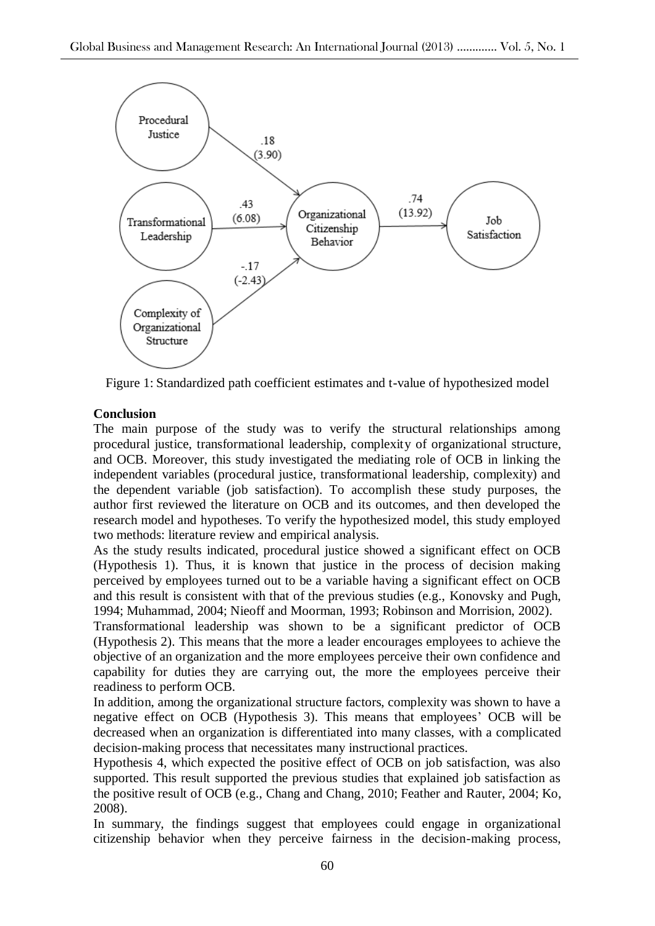

Figure 1: Standardized path coefficient estimates and t-value of hypothesized model

# **Conclusion**

The main purpose of the study was to verify the structural relationships among procedural justice, transformational leadership, complexity of organizational structure, and OCB. Moreover, this study investigated the mediating role of OCB in linking the independent variables (procedural justice, transformational leadership, complexity) and the dependent variable (job satisfaction). To accomplish these study purposes, the author first reviewed the literature on OCB and its outcomes, and then developed the research model and hypotheses. To verify the hypothesized model, this study employed two methods: literature review and empirical analysis.

As the study results indicated, procedural justice showed a significant effect on OCB (Hypothesis 1). Thus, it is known that justice in the process of decision making perceived by employees turned out to be a variable having a significant effect on OCB and this result is consistent with that of the previous studies (e.g., Konovsky and Pugh, 1994; Muhammad, 2004; Nieoff and Moorman, 1993; Robinson and Morrision, 2002).

Transformational leadership was shown to be a significant predictor of OCB (Hypothesis 2). This means that the more a leader encourages employees to achieve the objective of an organization and the more employees perceive their own confidence and capability for duties they are carrying out, the more the employees perceive their readiness to perform OCB.

In addition, among the organizational structure factors, complexity was shown to have a negative effect on OCB (Hypothesis 3). This means that employees' OCB will be decreased when an organization is differentiated into many classes, with a complicated decision-making process that necessitates many instructional practices.

Hypothesis 4, which expected the positive effect of OCB on job satisfaction, was also supported. This result supported the previous studies that explained job satisfaction as the positive result of OCB (e.g., Chang and Chang, 2010; Feather and Rauter, 2004; Ko, 2008).

In summary, the findings suggest that employees could engage in organizational citizenship behavior when they perceive fairness in the decision-making process,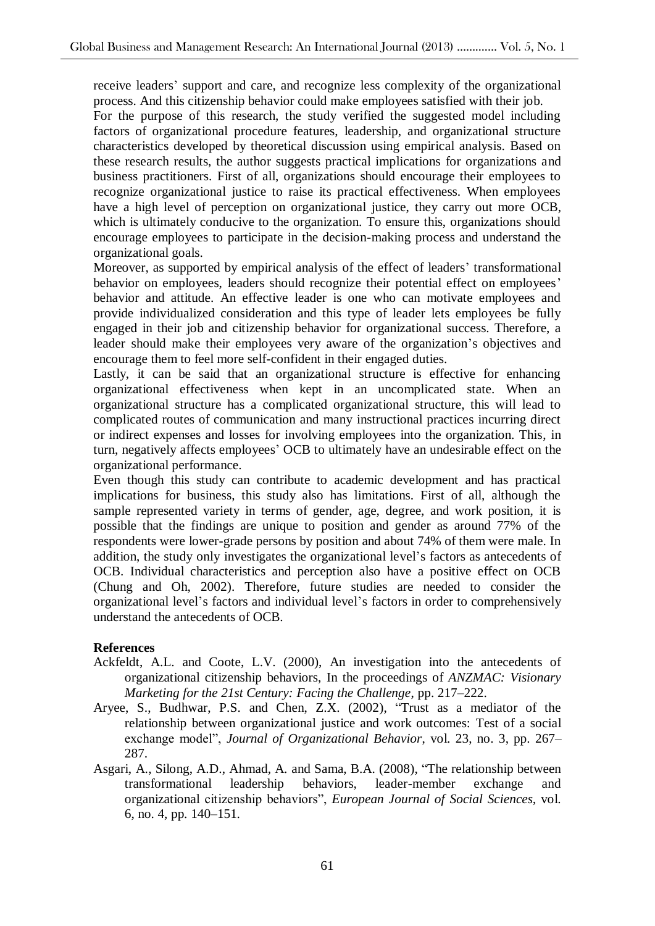receive leaders' support and care, and recognize less complexity of the organizational process. And this citizenship behavior could make employees satisfied with their job.

For the purpose of this research, the study verified the suggested model including factors of organizational procedure features, leadership, and organizational structure characteristics developed by theoretical discussion using empirical analysis. Based on these research results, the author suggests practical implications for organizations and business practitioners. First of all, organizations should encourage their employees to recognize organizational justice to raise its practical effectiveness. When employees have a high level of perception on organizational justice, they carry out more OCB, which is ultimately conducive to the organization. To ensure this, organizations should encourage employees to participate in the decision-making process and understand the organizational goals.

Moreover, as supported by empirical analysis of the effect of leaders' transformational behavior on employees, leaders should recognize their potential effect on employees' behavior and attitude. An effective leader is one who can motivate employees and provide individualized consideration and this type of leader lets employees be fully engaged in their job and citizenship behavior for organizational success. Therefore, a leader should make their employees very aware of the organization's objectives and encourage them to feel more self-confident in their engaged duties.

Lastly, it can be said that an organizational structure is effective for enhancing organizational effectiveness when kept in an uncomplicated state. When an organizational structure has a complicated organizational structure, this will lead to complicated routes of communication and many instructional practices incurring direct or indirect expenses and losses for involving employees into the organization. This, in turn, negatively affects employees' OCB to ultimately have an undesirable effect on the organizational performance.

Even though this study can contribute to academic development and has practical implications for business, this study also has limitations. First of all, although the sample represented variety in terms of gender, age, degree, and work position, it is possible that the findings are unique to position and gender as around 77% of the respondents were lower-grade persons by position and about 74% of them were male. In addition, the study only investigates the organizational level's factors as antecedents of OCB. Individual characteristics and perception also have a positive effect on OCB (Chung and Oh, 2002). Therefore, future studies are needed to consider the organizational level's factors and individual level's factors in order to comprehensively understand the antecedents of OCB.

## **References**

- Ackfeldt, A.L. and Coote, L.V. (2000), An investigation into the antecedents of organizational citizenship behaviors, In the proceedings of *ANZMAC: Visionary Marketing for the 21st Century: Facing the Challenge*, pp. 217–222.
- Aryee, S., Budhwar, P.S. and Chen, Z.X. (2002), "Trust as a mediator of the relationship between organizational justice and work outcomes: Test of a social exchange model", *Journal of Organizational Behavior*, vol. 23, no. 3, pp. 267– 287.
- Asgari, A., Silong, A.D., Ahmad, A. and Sama, B.A. (2008), "The relationship between transformational leadership behaviors, leader-member exchange and organizational citizenship behaviors", *European Journal of Social Sciences,* vol. 6, no. 4, pp. 140–151.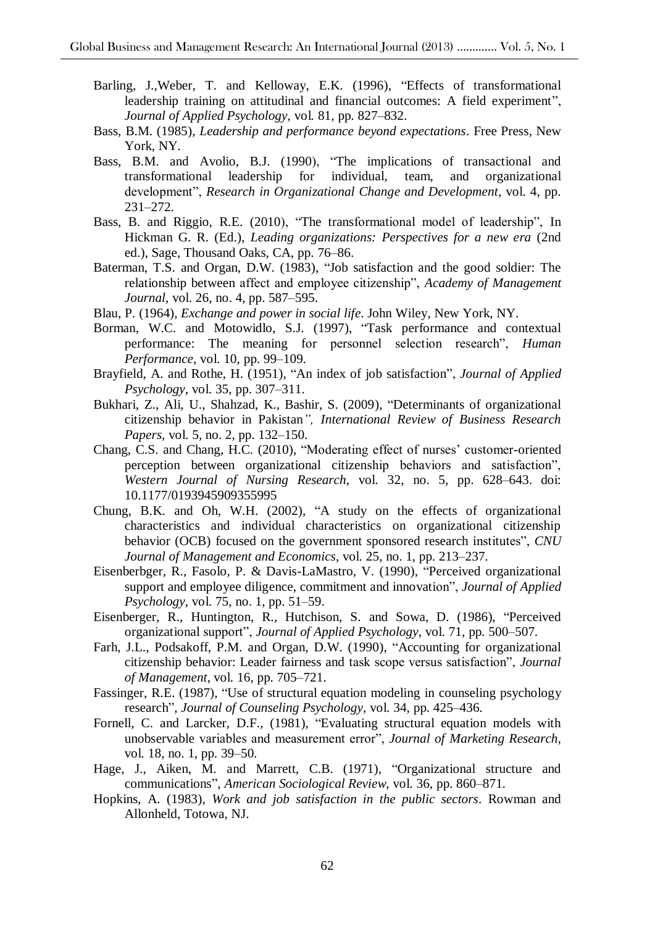- Barling, J.,Weber, T. and Kelloway, E.K. (1996), "Effects of transformational leadership training on attitudinal and financial outcomes: A field experiment", *Journal of Applied Psychology,* vol*.* 81*,* pp. 827–832.
- Bass, B.M. (1985), *Leadership and performance beyond expectations*. Free Press, New York, NY.
- Bass, B.M. and Avolio, B.J. (1990), "The implications of transactional and transformational leadership for individual, team, and organizational development", *Research in Organizational Change and Development*, vol. 4, pp. 231–272.
- Bass, B. and Riggio, R.E. (2010), "The transformational model of leadership", In Hickman G. R. (Ed.), *Leading organizations: Perspectives for a new era* (2nd ed.), Sage, Thousand Oaks, CA, pp. 76–86.
- Baterman, T.S. and Organ, D.W. (1983), "Job satisfaction and the good soldier: The relationship between affect and employee citizenship", *Academy of Management Journal*, vol. 26, no. 4, pp. 587–595.
- Blau, P. (1964), *Exchange and power in social life*. John Wiley, New York, NY.
- Borman, W.C. and Motowidlo, S.J. (1997), "Task performance and contextual performance: The meaning for personnel selection research", *Human Performance*, vol. 10, pp. 99–109.
- Brayfield, A. and Rothe, H. (1951), "An index of job satisfaction", *Journal of Applied Psychology*, vol. 35, pp. 307–311.
- Bukhari, Z., Ali, U., Shahzad, K., Bashir, S. (2009), "Determinants of organizational citizenship behavior in Pakistan*", International Review of Business Research Papers*, vol. 5, no. 2, pp. 132–150.
- Chang, C.S. and Chang, H.C. (2010), "Moderating effect of nurses' customer-oriented perception between organizational citizenship behaviors and satisfaction", *Western Journal of Nursing Research*, vol. 32, no. 5, pp. 628–643. doi: 10.1177/0193945909355995
- Chung, B.K. and Oh, W.H. (2002), "A study on the effects of organizational characteristics and individual characteristics on organizational citizenship behavior (OCB) focused on the government sponsored research institutes", *CNU Journal of Management and Economics*, vol. 25, no. 1, pp. 213–237.
- Eisenberbger, R., Fasolo, P. & Davis-LaMastro, V. (1990), "Perceived organizational support and employee diligence, commitment and innovation", *Journal of Applied Psychology*, vol. 75, no. 1, pp. 51–59.
- Eisenberger, R., Huntington, R., Hutchison, S. and Sowa, D. (1986), "Perceived organizational support", *Journal of Applied Psychology*, vol. 71, pp. 500–507.
- Farh, J.L., Podsakoff, P.M. and Organ, D.W. (1990), "Accounting for organizational citizenship behavior: Leader fairness and task scope versus satisfaction", *Journal of Management*, vol. 16, pp*.* 705–721.
- Fassinger, R.E. (1987), "Use of structural equation modeling in counseling psychology research", *Journal of Counseling Psychology*, vol. 34, pp. 425–436.
- Fornell, C. and Larcker, D.F., (1981), "Evaluating structural equation models with unobservable variables and measurement error", *Journal of Marketing Research,*  vol*.* 18, no. 1, pp. 39–50.
- Hage, J., Aiken, M. and Marrett, C.B. (1971), "Organizational structure and communications", *American Sociological Review*, vol. 36, pp. 860–871.
- Hopkins, A. (1983), *Work and job satisfaction in the public sectors*. Rowman and Allonheld, Totowa, NJ.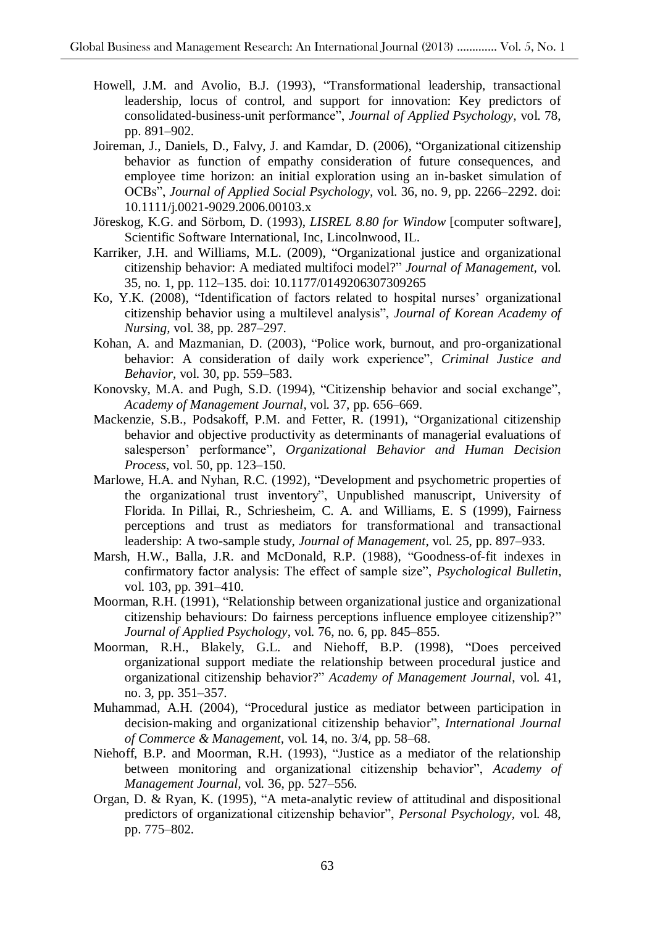- Howell, J.M. and Avolio, B.J. (1993), "Transformational leadership, transactional leadership, locus of control, and support for innovation: Key predictors of consolidated-business-unit performance", *Journal of Applied Psychology,* vol. 78, pp. 891–902.
- Joireman, J., Daniels, D., Falvy, J. and Kamdar, D. (2006), "Organizational citizenship behavior as function of empathy consideration of future consequences, and employee time horizon: an initial exploration using an in-basket simulation of OCBs", *Journal of Applied Social Psychology,* vol. 36, no. 9, pp. 2266–2292. doi: 10.1111/j.0021-9029.2006.00103.x
- Jöreskog, K.G. and Sörbom, D. (1993), *LISREL 8.80 for Window* [computer software]*,* Scientific Software International, Inc, Lincolnwood, IL.
- Karriker, J.H. and Williams, M.L. (2009), "Organizational justice and organizational citizenship behavior: A mediated multifoci model?" *Journal of Management,* vol. 35, no*.* 1, pp. 112–135. doi: 10.1177/0149206307309265
- Ko, Y.K. (2008), "Identification of factors related to hospital nurses' organizational citizenship behavior using a multilevel analysis", *Journal of Korean Academy of Nursing,* vol. 38, pp. 287–297.
- Kohan, A. and Mazmanian, D. (2003), "Police work, burnout, and pro-organizational behavior: A consideration of daily work experience", *Criminal Justice and Behavior,* vol. 30, pp. 559–583.
- Konovsky, M.A. and Pugh, S.D. (1994), "Citizenship behavior and social exchange", *Academy of Management Journal*, vol. 37, pp. 656–669.
- Mackenzie, S.B., Podsakoff, P.M. and Fetter, R. (1991), "Organizational citizenship behavior and objective productivity as determinants of managerial evaluations of salesperson' performance", *Organizational Behavior and Human Decision Process*, vol. 50, pp. 123–150.
- Marlowe, H.A. and Nyhan, R.C. (1992), "Development and psychometric properties of the organizational trust inventory", Unpublished manuscript, University of Florida. In Pillai, R., Schriesheim, C. A. and Williams, E. S (1999), Fairness perceptions and trust as mediators for transformational and transactional leadership: A two-sample study, *Journal of Management*, vol. 25, pp. 897–933.
- Marsh, H.W., Balla, J.R. and McDonald, R.P. (1988), "Goodness-of-fit indexes in confirmatory factor analysis: The effect of sample size", *Psychological Bulletin*, vol. 103, pp. 391–410.
- Moorman, R.H. (1991), "Relationship between organizational justice and organizational citizenship behaviours: Do fairness perceptions influence employee citizenship?" *Journal of Applied Psychology*, vol. 76, no*.* 6, pp. 845–855.
- Moorman, R.H., Blakely, G.L. and Niehoff, B.P. (1998), "Does perceived organizational support mediate the relationship between procedural justice and organizational citizenship behavior?" *Academy of Management Journal*, vol. 41, no. 3, pp. 351–357.
- Muhammad, A.H. (2004), "Procedural justice as mediator between participation in decision-making and organizational citizenship behavior", *International Journal of Commerce & Management,* vol. 14, no. 3/4, pp. 58–68.
- Niehoff, B.P. and Moorman, R.H. (1993), "Justice as a mediator of the relationship between monitoring and organizational citizenship behavior", *Academy of Management Journal,* vol*.* 36, pp. 527–556.
- Organ, D. & Ryan, K. (1995), "A meta-analytic review of attitudinal and dispositional predictors of organizational citizenship behavior", *Personal Psychology,* vol. 48, pp. 775–802.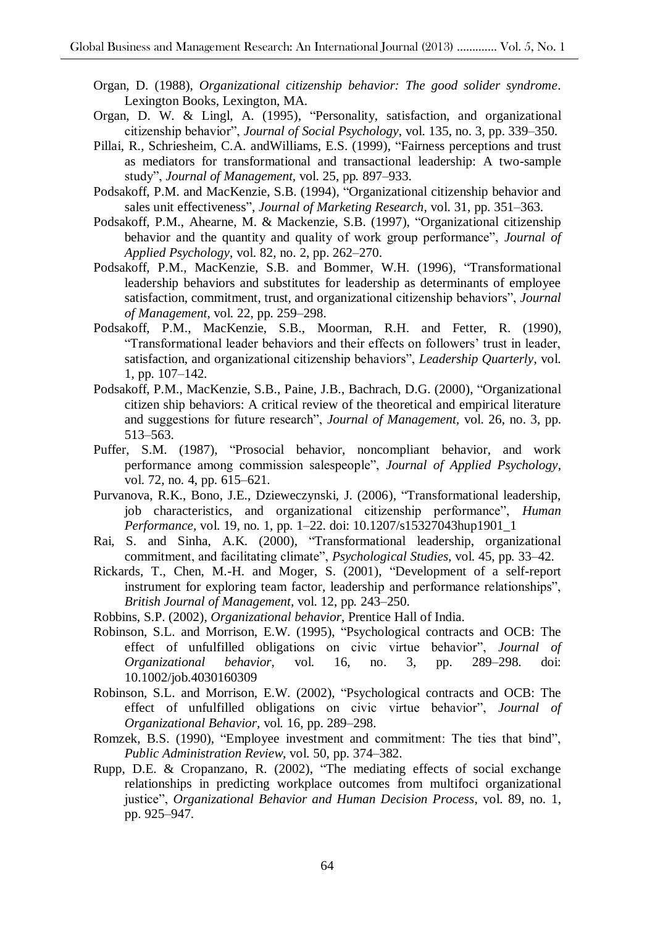- Organ, D. (1988), *Organizational citizenship behavior: The good solider syndrome*. Lexington Books, Lexington, MA.
- Organ, D. W. & Lingl, A. (1995), "Personality, satisfaction, and organizational citizenship behavior", *Journal of Social Psychology*, vol. 135, no*.* 3, pp. 339–350.
- Pillai, R., Schriesheim, C.A. andWilliams, E.S. (1999), "Fairness perceptions and trust as mediators for transformational and transactional leadership: A two-sample study", *Journal of Management,* vol. 25, pp*.* 897–933.
- Podsakoff, P.M. and MacKenzie, S.B. (1994), "Organizational citizenship behavior and sales unit effectiveness", *Journal of Marketing Research*, vol. 31, pp. 351–363.
- Podsakoff, P.M., Ahearne, M. & Mackenzie, S.B. (1997), "Organizational citizenship behavior and the quantity and quality of work group performance", *Journal of Applied Psychology*, vol. 82, no*.* 2, pp. 262–270.
- Podsakoff, P.M., MacKenzie, S.B. and Bommer, W.H. (1996), "Transformational leadership behaviors and substitutes for leadership as determinants of employee satisfaction, commitment, trust, and organizational citizenship behaviors", *Journal of Management,* vol. 22, pp*.* 259–298.
- Podsakoff, P.M., MacKenzie, S.B., Moorman, R.H. and Fetter, R. (1990), "Transformational leader behaviors and their effects on followers' trust in leader, satisfaction, and organizational citizenship behaviors", *Leadership Quarterly*, vol. 1, pp. 107–142.
- Podsakoff, P.M., MacKenzie, S.B., Paine, J.B., Bachrach, D.G. (2000), "Organizational citizen ship behaviors: A critical review of the theoretical and empirical literature and suggestions for future research", *Journal of Management,* vol. 26, no. 3, pp. 513–563.
- Puffer, S.M. (1987), "Prosocial behavior, noncompliant behavior, and work performance among commission salespeople", *Journal of Applied Psychology*, vol. 72, no*.* 4, pp. 615–621.
- Purvanova, R.K., Bono, J.E., Dzieweczynski, J. (2006), "Transformational leadership, job characteristics, and organizational citizenship performance", *Human Performance,* vol. 19, no*.* 1, pp. 1–22. doi: 10.1207/s15327043hup1901\_1
- Rai, S. and Sinha, A.K. (2000), "Transformational leadership, organizational commitment, and facilitating climate", *Psychological Studies,* vol. 45, pp*.* 33–42.
- Rickards, T., Chen, M.-H. and Moger, S. (2001), "Development of a self-report instrument for exploring team factor, leadership and performance relationships", *British Journal of Management,* vol. 12, pp*.* 243–250.

Robbins, S.P. (2002), *Organizational behavior*, Prentice Hall of India.

- Robinson, S.L. and Morrison, E.W. (1995), "Psychological contracts and OCB: The effect of unfulfilled obligations on civic virtue behavior", *Journal of Organizational behavior*, vol. 16, no. 3, pp. 289–298. doi: 10.1002/job.4030160309
- Robinson, S.L. and Morrison, E.W. (2002), "Psychological contracts and OCB: The effect of unfulfilled obligations on civic virtue behavior", *Journal of Organizational Behavior,* vol*.* 16, pp. 289–298.
- Romzek, B.S. (1990), "Employee investment and commitment: The ties that bind", *Public Administration Review*, vol. 50, pp. 374–382.
- Rupp, D.E. & Cropanzano, R. (2002), "The mediating effects of social exchange relationships in predicting workplace outcomes from multifoci organizational justice", *Organizational Behavior and Human Decision Process*, vol. 89, no*.* 1, pp. 925–947.